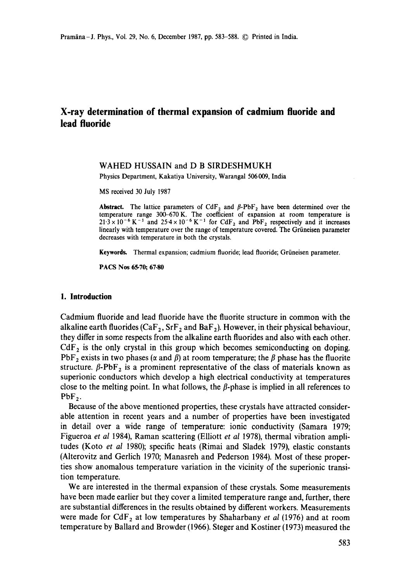# **X-ray determination of thermal expansion of cadmium fluoride and lead fluoride**

#### WAHED HUSSAIN and D B SIRDESHMUKH

Physics Department, Kakatiya University, Warangal 506009, India

MS received 30 July 1987

**Abstract.** The lattice parameters of  $CdF_2$  and  $\beta$ -PbF<sub>2</sub> have been determined over the temperature range 300-670 K. The coefficient of expansion at room temperature is  $21.3 \times 10^{-6}$  K<sup>-1</sup> and  $25.4 \times 10^{-6}$  K<sup>-1</sup> for CdF<sub>2</sub> and PbF<sub>2</sub> respectively and it increases linearly with temperature over the range of temperature covered. The Griineisen parameter decreases with temperature in both the crystals.

Keywords. Thermal expansion; cadmium fluoride; lead fluoride; Griineisen parameter.

PACS Nos 65.70; **67.80** 

#### **1. Introduction**

Cadmium fluoride and lead fluoride have the fluorite structure in common with the alkaline earth fluorides ( $\text{CaF}_2$ ,  $\text{SrF}_2$  and  $\text{BaF}_2$ ). However, in their physical behaviour, they differ in some respects from the alkaline earth fluorides and also with each other.  $CdF<sub>2</sub>$  is the only crystal in this group which becomes semiconducting on doping. PbF<sub>2</sub> exists in two phases ( $\alpha$  and  $\beta$ ) at room temperature; the  $\beta$  phase has the fluorite structure.  $\beta$ -PbF<sub>2</sub> is a prominent representative of the class of materials known as superionic conductors which develop a high electrical conductivity at temperatures close to the melting point. In what follows, the  $\beta$ -phase is implied in all references to  $PbF<sub>2</sub>$ .

Because of the above mentioned properties, these crystals have attracted considerable attention in recent years and a number of properties have been investigated in detail over a wide range of temperature: ionic conductivity (Samara 1979; Figueroa *et al* 1984), Raman scattering (Elliott *et al* 1978), thermal vibration amplitudes (Koto *et al* 1980); specific heats (Rimai and Sladek 1979), elastic constants (Alterovitz and Gerlich 1970; Manasreh and Pederson 1984). Most of these properties show anomalous temperature variation in the vicinity of the superionic transition temperature.

We are interested in the thermal expansion of these crystals. Some measurements have been made earlier but they cover a limited temperature range and, further, there are substantial differences in the results obtained by different workers. Measurements were made for  $CdF_2$  at low temperatures by Shaharbany *et al* (1976) and at room temperature by Ballard and Browder (1966). Steger and Kostiner (1973) measured the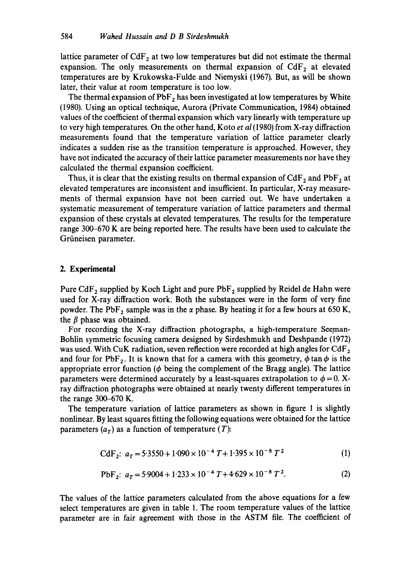lattice parameter of  $CdF_2$  at two low temperatures but did not estimate the thermal expansion. The only measurements on thermal expansion of  $CdF<sub>2</sub>$  at elevated temperatures are by Krukowska-Fulde and Niemyski (1967). But, as will be shown later, their value at room temperature is too low.

The thermal expansion of  $PbF_2$  has been investigated at low temperatures by White (1980). Using an optical technique, Aurora (Private Communication, 1984) obtained values of the coefficient of thermal expansion which vary linearly with temperature up to very high temperatures. On the other hand, Koto *et al* (1980) from X-ray diffraction measurements found that the temperature variation of lattice parameter clearly indicates a sudden rise as the transition temperature is approached. However, they have not indicated the accuracy of their lattice parameter measurements nor have they calculated the thermal expansion coefficient.

Thus, it is clear that the existing results on thermal expansion of  $CdF_2$  and  $PbF_2$  at elevated temperatures are inconsistent and insufficient. In particular, X-ray measurements of thermal expansion have not been carried out. We have undertaken a systematic measurement of temperature variation of lattice parameters and thermal expansion of these crystals at elevated temperatures. The results for the temperature range 300-670 K are being reported here. The results have been used to calculate the Griineisen parameter.

#### **2. Experimental**

Pure CdF<sub>2</sub> supplied by Koch Light and pure  $PbF_2$  supplied by Reidel de Hahn were used for X-ray diffraction work. Both the substances were in the form of very fine powder. The PbF<sub>2</sub> sample was in the  $\alpha$  phase. By heating it for a few hours at 650 K, the  $\beta$  phase was obtained.

For recording the X-ray diffraction photographs, a high-temperature Seeman-Bohlin symmetric focusing camera designed by Sirdeshmukh and Deshpande (1972) was used. With CuK radiation, seven reflection were recorded at high angles for CdF<sub>2</sub> and four for PbF<sub>2</sub>. It is known that for a camera with this geometry,  $\phi \tan \phi$  is the appropriate error function ( $\phi$  being the complement of the Bragg angle). The lattice parameters were determined accurately by a least-squares extrapolation to  $\phi = 0$ . Xray diffraction photographs were obtained at nearly twenty different temperatures in the range 300-670 K.

The temperature variation of lattice parameters as shown in figure 1 is slightly nonlinear. By least squares fitting the following equations were obtained for the lattice parameters  $(a<sub>r</sub>)$  as a function of temperature  $(T)$ :

$$
CdF_2: a_T = 5.3550 + 1.090 \times 10^{-4} T + 1.395 \times 10^{-8} T^2
$$
 (1)

$$
\text{PbF}_2: a_T = 5.9004 + 1.233 \times 10^{-4} T + 4.629 \times 10^{-8} T^2. \tag{2}
$$

The values of the lattice parameters calculated from the above equations for a few select temperatures are given in table 1. The room temperature values of the lattice parameter are in fair agreement with those in the ASTM file. The coefficient of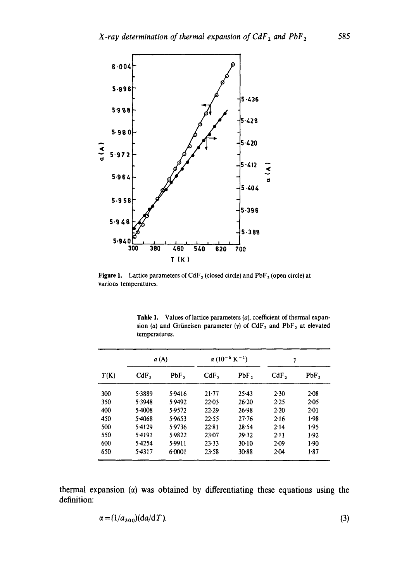

**Figure 1.** Lattice parameters of CdF<sub>2</sub> (closed circle) and PbF<sub>2</sub> (open circle) at various temperatures.

**Table** 1. Values of lattice parameters (a), coefficient of thermal expansion ( $\alpha$ ) and Grüneisen parameter ( $\gamma$ ) of CdF<sub>2</sub> and PbF<sub>2</sub> at elevated temperatures,

| T(K) | a (A)   |        | $\alpha$ (10 <sup>-6</sup> K <sup>-1</sup> ) |           | γ       |      |
|------|---------|--------|----------------------------------------------|-----------|---------|------|
|      | $CdF$ , | PbF,   | CdF <sub>2</sub>                             | PbF,      | $CdF$ , | PbF, |
| 300  | 5.3889  | 5.9416 | $21 - 77$                                    | 25.43     | 2.30    | 2.08 |
| 350  | 5.3948  | 5.9492 | $22 - 03$                                    | $26-20$   | 2.25    | 2.05 |
| 400  | 5.4008  | 5.9572 | $22-29$                                      | 26.98     | 2.20    | 2.01 |
| 450  | 5-4068  | 5.9653 | 22.55                                        | $27 - 76$ | 2.16    | 1.98 |
| 500  | 5.4129  | 5.9736 | 22.81                                        | 28.54     | 2.14    | 1.95 |
| 550  | 5.4191  | 5.9822 | 23-07                                        | 29.32     | 2.11    | 1.92 |
| 600  | 5.4254  | 5.9911 | 23.33                                        | 30.10     | $2-09$  | 1.90 |
| 650  | 5.4317  | 6.0001 | 23.58                                        | 30.88     | 2.04    | 1.87 |

thermal expansion  $(a)$  was obtained by differentiating these equations using the definition:

$$
\alpha = (1/a_{300})(da/dT). \tag{3}
$$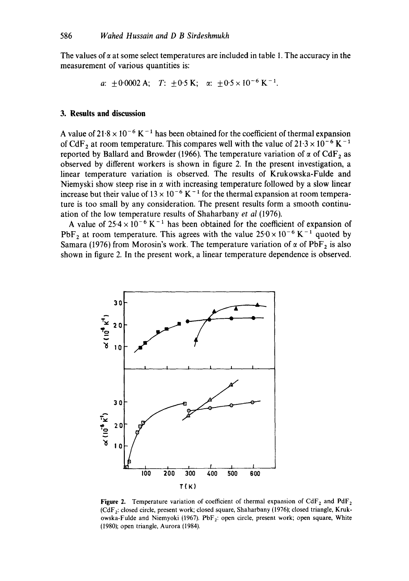The values of  $\alpha$  at some select temperatures are included in table 1. The accuracy in the measurement of various quantities is:

```
a: \pm 0.0002 A; T: \pm 0.5 K; \alpha: \pm 0.5 \times 10^{-6} K<sup>-1</sup>.
```
#### **3. Results and discussion**

A value of  $21.8 \times 10^{-6}$  K<sup>-1</sup> has been obtained for the coefficient of thermal expansion of CdF<sub>2</sub> at room temperature. This compares well with the value of  $21.3 \times 10^{-6}$  K<sup>-1</sup> reported by Ballard and Browder (1966). The temperature variation of  $\alpha$  of CdF, as observed by different workers is shown in figure 2. In the present investigation, a linear temperature variation is observed. The results of Krukowska-Fulde and Niemyski show steep rise in  $\alpha$  with increasing temperature followed by a slow linear increase but their value of  $13 \times 10^{-6}$  K<sup>-1</sup> for the thermal expansion at room temperature is too small by any consideration. The present results form a smooth continuation of the low temperature results of Shaharbany *et al* (1976).

A value of  $25.4 \times 10^{-6}$  K<sup>-1</sup> has been obtained for the coefficient of expansion of PbF<sub>2</sub> at room temperature. This agrees with the value  $25.0 \times 10^{-6}$  K<sup>-1</sup> quoted by Samara (1976) from Morosin's work. The temperature variation of  $\alpha$  of PbF<sub>2</sub> is also shown in figure 2. In the present work, a linear temperature dependence is observed.



**Figure 2.** Temperature variation of coefficient of thermal expansion of  $CdF_2$  and  $PdF_2$ (CdFz: closed circle, present work; closed square, Shaharbany (1976); closed triangle, Krukowska-Fulde and Niemyoki (1967). PbF<sub>2</sub>: open circle, present work; open square, White (1980); open triangle, Aurora (1984).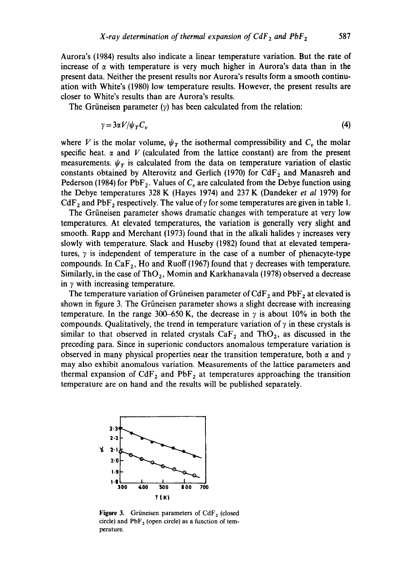Aurora's (1984) results also indicate a linear temperature variation. But the rate of increase of  $\alpha$  with temperature is very much higher in Aurora's data than in the present data. Neither the present results nor Aurora's results form a smooth continuation with White's (1980) low temperature results. However, the present results are closer to White's results than are Aurora's results.

The Grüneisen parameter  $(y)$  has been calculated from the relation:

$$
\gamma = 3\alpha V / \psi_T C_v \tag{4}
$$

where V is the molar volume,  $\psi_T$  the isothermal compressibility and  $C_v$  the molar specific heat.  $\alpha$  and V (calculated from the lattice constant) are from the present measurements.  $\psi_r$  is calculated from the data on temperature variation of elastic constants obtained by Alterovitz and Gerlich (1970) for  $CdF_2$  and Manasreh and Pederson (1984) for PbF<sub>2</sub>. Values of  $C<sub>n</sub>$  are calculated from the Debye function using the Debye temperatures 328 K (Hayes 1974) and 237 K (Dandeker *et al* 1979) for CdF<sub>2</sub> and PbF<sub>2</sub> respectively. The value of  $\gamma$  for some temperatures are given in table 1.

The Griineisen parameter shows dramatic changes with temperature at very low temperatures. At elevated temperatures, the variation is generally very slight and smooth. Rapp and Merchant (1973) found that in the alkali halides  $\gamma$  increases very slowly with temperature. Slack and Huseby (1982) found that at elevated temperatures,  $\gamma$  is independent of temperature in the case of a number of phenacyte-type compounds. In CaF<sub>2</sub>, Ho and Ruoff (1967) found that  $\gamma$  decreases with temperature. Similarly, in the case of ThO<sub>2</sub>, Momin and Karkhanavala (1978) observed a decrease in  $\gamma$  with increasing temperature.

The temperature variation of Grüneisen parameter of  $CdF_2$  and  $PbF_2$  at elevated is shown in figure 3. The Grüneisen parameter shows a slight decrease with increasing temperature. In the range 300–650 K, the decrease in  $\gamma$  is about 10% in both the compounds. Qualitatively, the trend in temperature variation of  $\gamma$  in these crystals is similar to that observed in related crystals  $CaF<sub>2</sub>$  and ThO<sub>2</sub>, as discussed in the preceding para. Since in superionic conductors anomalous temperature variation is observed in many physical properties near the transition temperature, both  $\alpha$  and  $\gamma$ may also exhibit anomalous variation. Measurements of the lattice parameters and thermal expansion of  $CdF<sub>2</sub>$  and  $PbF<sub>2</sub>$  at temperatures approaching the transition temperature are on hand and the results will be published separately.



Figure 3. Grüneisen parameters of CdF<sub>2</sub> (closed circle) and  $PbF_2$  (open circle) as a function of temperature.